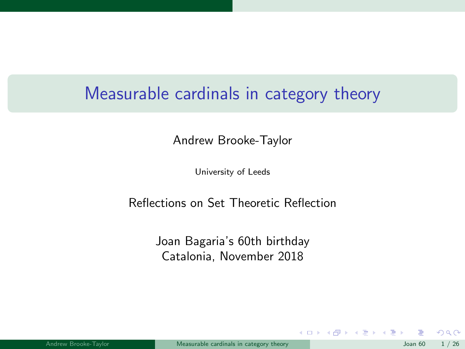# <span id="page-0-0"></span>Measurable cardinals in category theory

Andrew Brooke-Taylor

University of Leeds

#### Reflections on Set Theoretic Reflection

Joan Bagaria's 60th birthday Catalonia, November 2018

 $\Omega$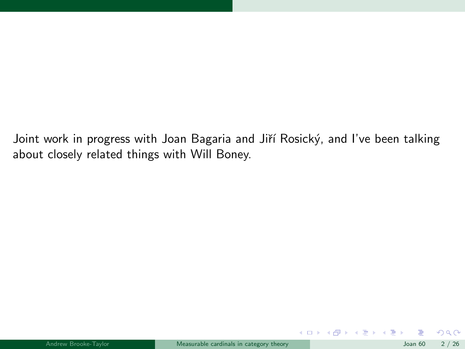Joint work in progress with Joan Bagaria and Jiří Rosický, and I've been talking about closely related things with Will Boney.

 $299$ 

メロトメ 倒 トメ ミトメ ミト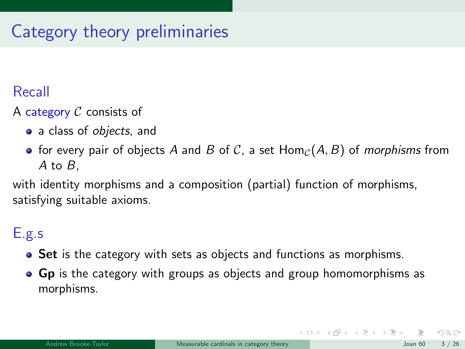# Category theory preliminaries

### Recall

A category  $C$  consists of

- a class of *objects*, and
- for every pair of objects A and B of C, a set  $\text{Hom}_{\mathcal{C}}(A, B)$  of morphisms from A to B,

with identity morphisms and a composition (partial) function of morphisms, satisfying suitable axioms.

### E.g.s

- Set is the category with sets as objects and functions as morphisms.
- Gp is the category with groups as objects and group homomorphisms as morphisms.

 $\Omega$ 

 $\left\{ \begin{array}{ccc} 1 & 0 & 0 \\ 0 & 1 & 0 \end{array} \right.$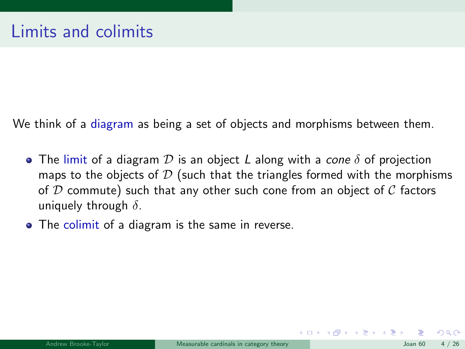We think of a diagram as being a set of objects and morphisms between them.

- **•** The limit of a diagram D is an object L along with a *cone*  $\delta$  of projection maps to the objects of  $D$  (such that the triangles formed with the morphisms of  $D$  commute) such that any other such cone from an object of  $C$  factors uniquely through  $\delta$ .
- The colimit of a diagram is the same in reverse.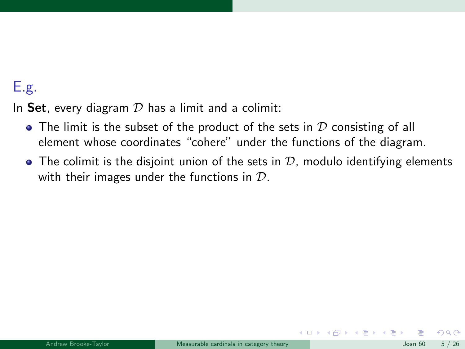## E.g.

In Set, every diagram  $D$  has a limit and a colimit:

- $\bullet$  The limit is the subset of the product of the sets in  $D$  consisting of all element whose coordinates "cohere" under the functions of the diagram.
- $\bullet$  The colimit is the disjoint union of the sets in  $\mathcal{D}$ , modulo identifying elements with their images under the functions in  $D$ .

 $\Omega$ 

メロト メ母 トメミト メミト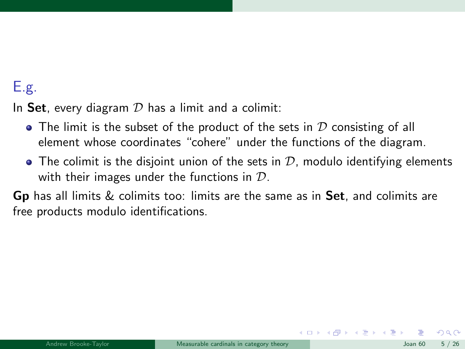## E.g.

In Set, every diagram  $D$  has a limit and a colimit:

- $\bullet$  The limit is the subset of the product of the sets in  $D$  consisting of all element whose coordinates "cohere" under the functions of the diagram.
- $\bullet$  The colimit is the disjoint union of the sets in  $\mathcal{D}$ , modulo identifying elements with their images under the functions in  $D$ .

**Gp** has all limits  $\&$  colimits too: limits are the same as in **Set**, and colimits are free products modulo identifications.

 $\Omega$ 

 $\left\{ \begin{array}{ccc} 1 & 0 & 0 \\ 0 & 1 & 0 \end{array} \right.$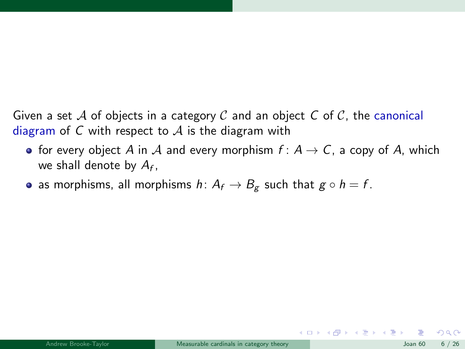Given a set A of objects in a category C and an object C of C, the canonical diagram of C with respect to  $A$  is the diagram with

- for every object A in A and every morphism  $f: A \rightarrow C$ , a copy of A, which we shall denote by  $A_f$ ,
- as morphisms, all morphisms  $h: A_f \to B_g$  such that  $g \circ h = f$ .

 $\Omega$ 

メロメ メ都 メメ きょくきょう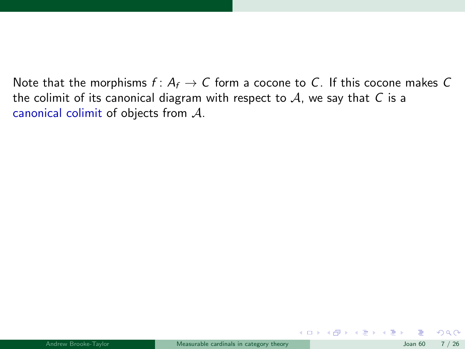Note that the morphisms  $f: A_f \to C$  form a cocone to C. If this cocone makes C the colimit of its canonical diagram with respect to  $A$ , we say that  $C$  is a canonical colimit of objects from A.

 $QQ$ 

 $A \square$   $A$   $B$   $A$   $B$   $A$   $E$   $A$   $E$   $A$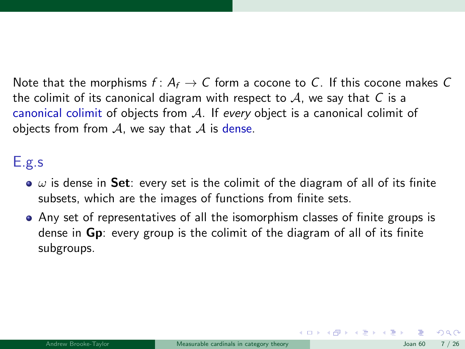Note that the morphisms  $f: A_f \to C$  form a cocone to C. If this cocone makes C the colimit of its canonical diagram with respect to  $A$ , we say that  $C$  is a canonical colimit of objects from A. If every object is a canonical colimit of objects from from  $A$ , we say that  $A$  is dense.

#### E.g.s

- $\bullet$   $\omega$  is dense in Set: every set is the colimit of the diagram of all of its finite subsets, which are the images of functions from finite sets.
- Any set of representatives of all the isomorphism classes of finite groups is dense in Gp: every group is the colimit of the diagram of all of its finite subgroups.

 $\Omega$ 

 $\left\{ \begin{array}{ccc} 1 & 0 & 0 \\ 0 & 1 & 0 \end{array} \right.$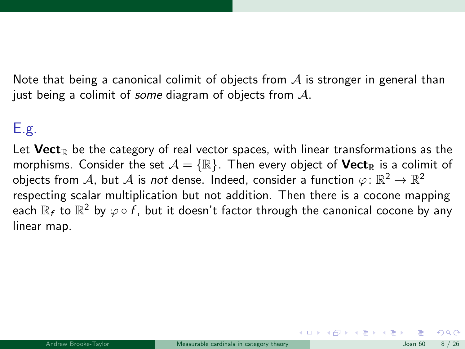Note that being a canonical colimit of objects from  $A$  is stronger in general than just being a colimit of some diagram of objects from  $\mathcal{A}$ .

## E.g.

Let  $\mathbf{Vect}_{\mathbb R}$  be the category of real vector spaces, with linear transformations as the morphisms. Consider the set  $\mathcal{A} = \{\mathbb{R}\}\$ . Then every object of **Vect**<sub>R</sub> is a colimit of objects from  $\mathcal{A}$ , but  $\mathcal{A}$  is *not* dense. Indeed, consider a function  $\varphi\colon\mathbb{R}^2\to\mathbb{R}^2$ respecting scalar multiplication but not addition. Then there is a cocone mapping each  $\R_f$  to  $\R^2$  by  $\varphi\circ f$ , but it doesn't factor through the canonical cocone by any linear map.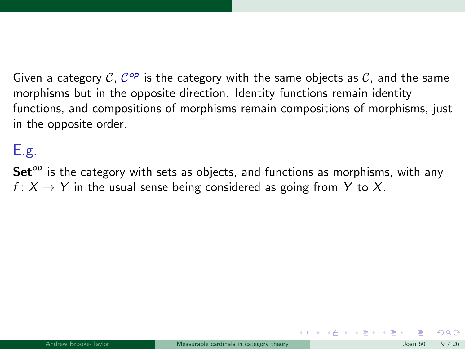Given a category C,  $C^{op}$  is the category with the same objects as C, and the same morphisms but in the opposite direction. Identity functions remain identity functions, and compositions of morphisms remain compositions of morphisms, just in the opposite order.

## E.g.

 $Set^{\circ p}$  is the category with sets as objects, and functions as morphisms, with any  $f: X \to Y$  in the usual sense being considered as going from Y to X.

 $\left\{ \begin{array}{ccc} 1 & 0 & 0 \\ 0 & 1 & 0 \end{array} \right.$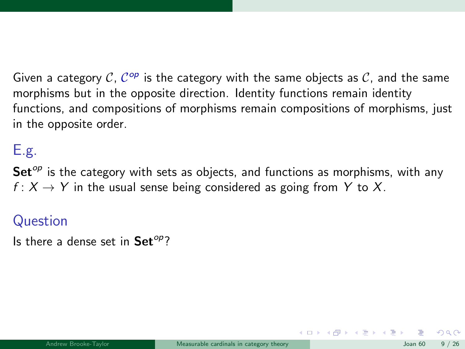Given a category C,  $C^{op}$  is the category with the same objects as C, and the same morphisms but in the opposite direction. Identity functions remain identity functions, and compositions of morphisms remain compositions of morphisms, just in the opposite order.

## E.g.

 $Set^{\circ p}$  is the category with sets as objects, and functions as morphisms, with any  $f: X \to Y$  in the usual sense being considered as going from Y to X.

#### Question

Is there a dense set in  $Set^{op}$ ?

 $\left\{ \begin{array}{ccc} 1 & 0 & 0 \\ 0 & 1 & 0 \end{array} \right.$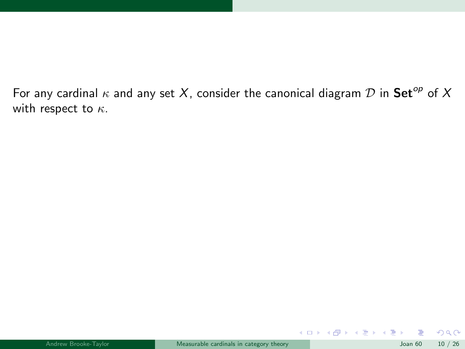For any cardinal  $\kappa$  and any set X, consider the canonical diagram  $D$  in Set<sup>op</sup> of X with respect to  $\kappa$ .

 $299$ 

メロトメ 倒 トメ ミトメ ミト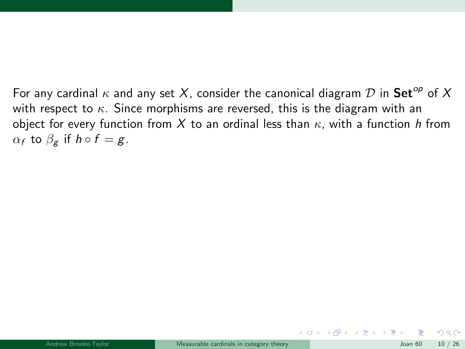For any cardinal  $\kappa$  and any set X, consider the canonical diagram D in Set<sup>op</sup> of X with respect to  $\kappa$ . Since morphisms are reversed, this is the diagram with an object for every function from X to an ordinal less than  $\kappa$ , with a function h from  $\alpha_f$  to  $\beta_g$  if  $h \circ f = g$ .

 $\Omega$ 

 $\left\{ \begin{array}{ccc} 1 & 0 & 0 \\ 0 & 1 & 0 \end{array} \right\}$  ,  $\left\{ \begin{array}{ccc} 0 & 0 & 0 \\ 0 & 0 & 0 \end{array} \right\}$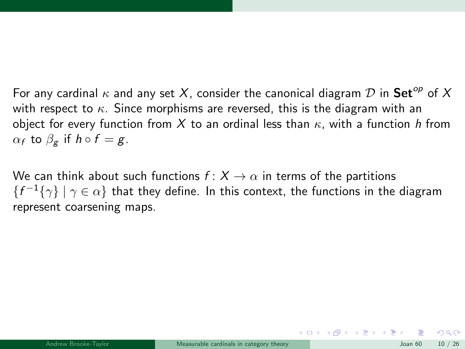For any cardinal  $\kappa$  and any set X, consider the canonical diagram  $D$  in Set<sup>op</sup> of X with respect to  $\kappa$ . Since morphisms are reversed, this is the diagram with an object for every function from X to an ordinal less than  $\kappa$ , with a function h from  $\alpha_f$  to  $\beta_g$  if  $h \circ f = g$ .

We can think about such functions  $f: X \to \alpha$  in terms of the partitions  ${f<sup>-1</sup>{\gamma} \mid \gamma \in \alpha}$ } that they define. In this context, the functions in the diagram represent coarsening maps.

 $\Omega$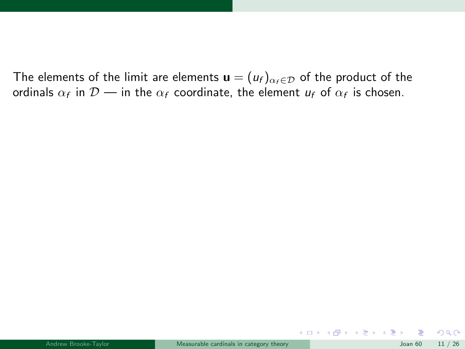$299$ 

メロメ メ御 メメ ヨメ メヨメ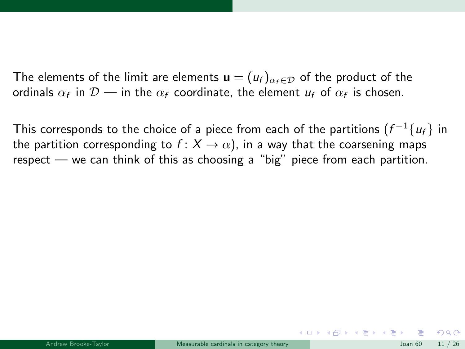This corresponds to the choice of a piece from each of the partitions  $(f^{-1}\{u_f\})$  in the partition corresponding to  $f: X \to \alpha$ , in a way that the coarsening maps respect — we can think of this as choosing a "big" piece from each partition.

 $\Omega$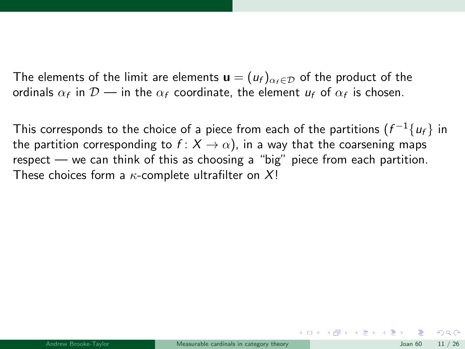This corresponds to the choice of a piece from each of the partitions  $(f^{-1}\{u_f\})$  in the partition corresponding to  $f: X \to \alpha$ ), in a way that the coarsening maps respect — we can think of this as choosing a "big" piece from each partition. These choices form a  $\kappa$ -complete ultrafilter on X!

 $\Omega$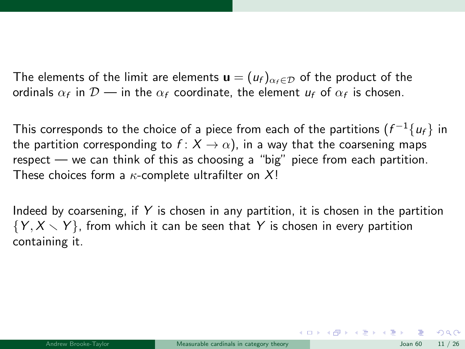This corresponds to the choice of a piece from each of the partitions  $(f^{-1}\{u_f\})$  in the partition corresponding to  $f: X \to \alpha$ ), in a way that the coarsening maps respect — we can think of this as choosing a "big" piece from each partition. These choices form a  $\kappa$ -complete ultrafilter on X!

Indeed by coarsening, if  $Y$  is chosen in any partition, it is chosen in the partition  $\{Y, X \setminus Y\}$ , from which it can be seen that Y is chosen in every partition containing it.

 $\Omega$ 

メロメ メ都 メメ きょうくぼ メー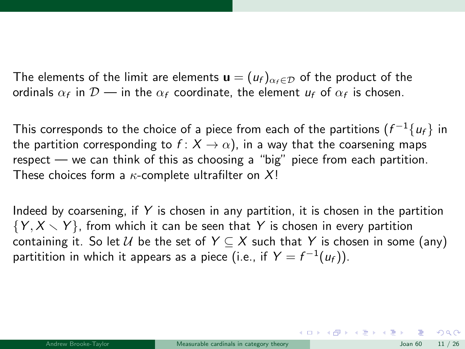This corresponds to the choice of a piece from each of the partitions  $(f^{-1}\{u_f\})$  in the partition corresponding to  $f: X \to \alpha$ , in a way that the coarsening maps respect — we can think of this as choosing a "big" piece from each partition. These choices form a  $\kappa$ -complete ultrafilter on X!

Indeed by coarsening, if  $Y$  is chosen in any partition, it is chosen in the partition  $\{Y, X \setminus Y\}$ , from which it can be seen that Y is chosen in every partition containing it. So let U be the set of  $Y \subseteq X$  such that Y is chosen in some (any) partitition in which it appears as a piece (i.e., if  $Y = f^{-1}(u_f)).$ 

 $\Omega$ 

K ロ X K 個 X X 등 X X 등 X … 등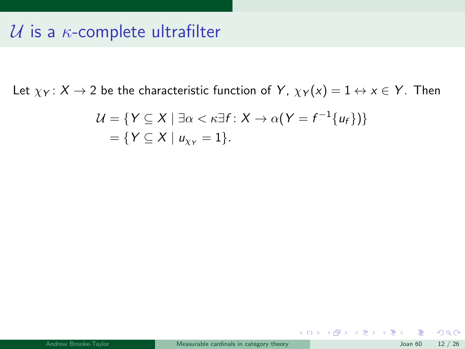## U is a  $\kappa$ -complete ultrafilter

Let  $\chi_Y$ :  $X \to 2$  be the characteristic function of Y,  $\chi_Y(x) = 1 \leftrightarrow x \in Y$ . Then

$$
\mathcal{U} = \{ Y \subseteq X \mid \exists \alpha < \kappa \exists f : X \to \alpha \, (Y = f^{-1} \{ u_f \}) \} \\ = \{ Y \subseteq X \mid u_{XY} = 1 \}.
$$

 $299$ 

メロメ メ御 メメ ヨメ メヨメ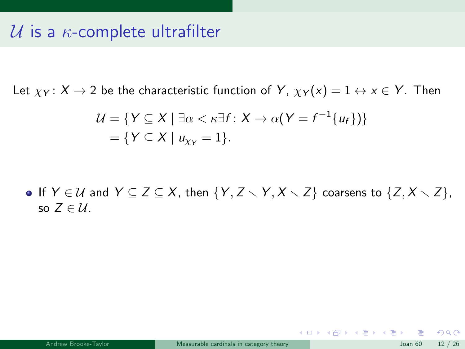## U is a  $\kappa$ -complete ultrafilter

Let  $\chi_Y \colon X \to 2$  be the characteristic function of Y,  $\chi_Y(x) = 1 \leftrightarrow x \in Y$ . Then

$$
\mathcal{U} = \{ Y \subseteq X \mid \exists \alpha < \kappa \exists f : X \to \alpha (Y = f^{-1}\{u_f\}) \} \\ = \{ Y \subseteq X \mid u_{XY} = 1 \}.
$$

**•** If  $Y \in \mathcal{U}$  and  $Y \subseteq Z \subseteq X$ , then  $\{Y, Z \setminus Y, X \setminus Z\}$  coarsens to  $\{Z, X \setminus Z\}$ , so  $Z \in \mathcal{U}$ .

 $\Omega$ 

メロメ メ部 メメ きょうくきょう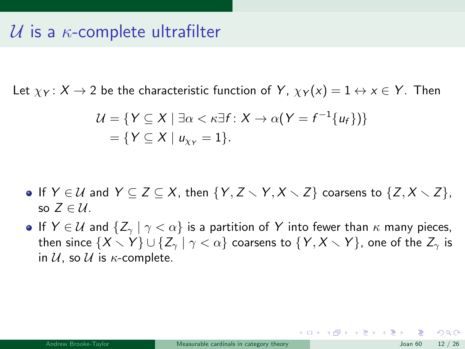## $\mathcal U$  is a  $\kappa$ -complete ultrafilter

Let  $\chi_Y \colon X \to 2$  be the characteristic function of Y,  $\chi_Y(x) = 1 \leftrightarrow x \in Y$ . Then

$$
\mathcal{U} = \{ Y \subseteq X \mid \exists \alpha < \kappa \exists f : X \to \alpha (Y = f^{-1} \{ u_f \}) \} \\ = \{ Y \subseteq X \mid u_{\chi_Y} = 1 \}.
$$

- **•** If  $Y \in \mathcal{U}$  and  $Y \subseteq Z \subseteq X$ , then  $\{Y, Z \setminus Y, X \setminus Z\}$  coarsens to  $\{Z, X \setminus Z\}$ , so  $Z \in \mathcal{U}$ .
- **If**  $Y \in \mathcal{U}$  and  $\{Z_{\gamma} | \gamma < \alpha\}$  is a partition of Y into fewer than  $\kappa$  many pieces, then since  $\{X \setminus Y\} \cup \{Z_{\gamma} | \gamma < \alpha\}$  coarsens to  $\{Y, X \setminus Y\}$ , one of the  $Z_{\gamma}$  is in  $U$ , so  $U$  is  $\kappa$ -complete.

 $\Omega$ 

K ロ X K 個 X X 평 X X 평 X X 평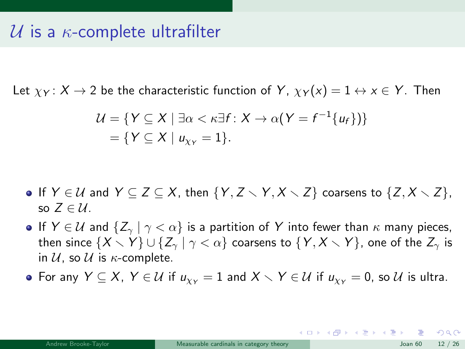Let  $\chi_Y \colon X \to 2$  be the characteristic function of Y,  $\chi_Y(x) = 1 \leftrightarrow x \in Y$ . Then

$$
\mathcal{U} = \{ Y \subseteq X \mid \exists \alpha < \kappa \exists f : X \to \alpha (Y = f^{-1}\{u_f\}) \} \\ = \{ Y \subseteq X \mid u_{XY} = 1 \}.
$$

- **•** If  $Y \in \mathcal{U}$  and  $Y \subseteq Z \subseteq X$ , then  $\{Y, Z \setminus Y, X \setminus Z\}$  coarsens to  $\{Z, X \setminus Z\}$ , so  $Z \in \mathcal{U}$ .
- **If**  $Y \in \mathcal{U}$  and  $\{Z_{\gamma} | \gamma < \alpha\}$  is a partition of Y into fewer than  $\kappa$  many pieces, then since  $\{X \setminus Y\} \cup \{Z_{\gamma} | \gamma < \alpha\}$  coarsens to  $\{Y, X \setminus Y\}$ , one of the  $Z_{\gamma}$  is in  $U$ , so  $U$  is  $\kappa$ -complete.

• For any  $Y \subseteq X$ ,  $Y \in U$  if  $u_{yy} = 1$  and  $X \setminus Y \in U$  if  $u_{yy} = 0$ , so U is ultra.

 $209$ 

K ロンス 御 > ス ヨ > ス ヨ > 一 ヨ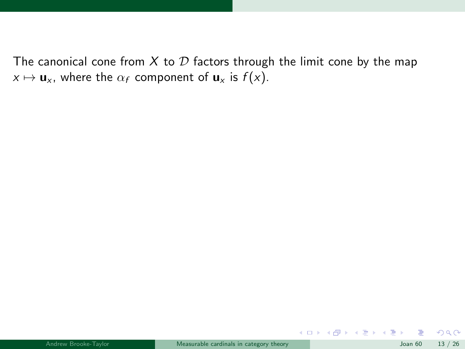$299$ 

メロトメ 倒 トメ ミトメ ミト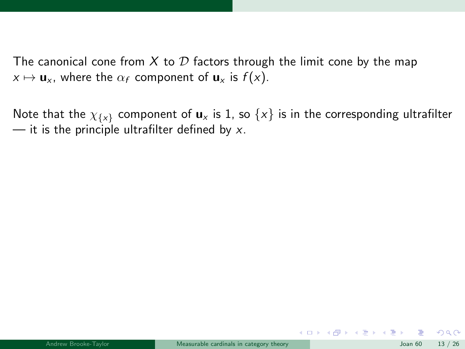Note that the  $\chi_{\{x\}}$  component of  $\mathbf{u}_x$  is 1, so  $\{x\}$  is in the corresponding ultrafilter  $\frac{1}{x}$  it is the principle ultrafilter defined by x.

 $\Omega$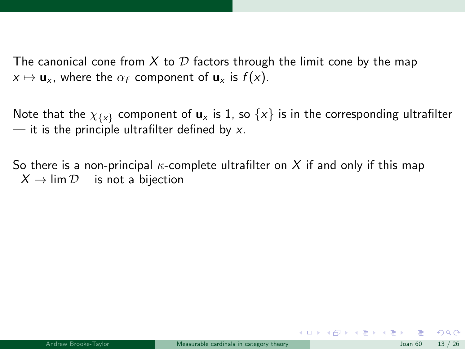Note that the  $\chi_{\{x\}}$  component of  $u_x$  is 1, so  $\{x\}$  is in the corresponding ultrafilter  $\frac{1}{x}$  it is the principle ultrafilter defined by x.

So there is a non-principal  $\kappa$ -complete ultrafilter on X if and only if this map  $X \rightarrow \lim \mathcal{D}$  is not a bijection

 $\Omega$ 

メロメ メ御 メメ きょうくきょう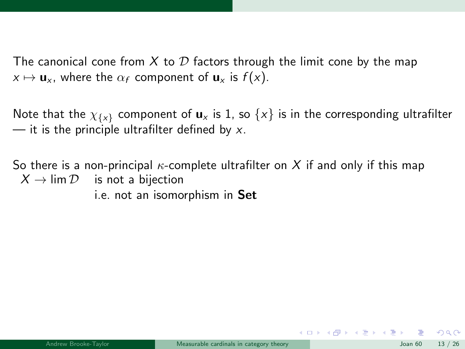Note that the  $\chi_{\{x\}}$  component of  $u_x$  is 1, so  $\{x\}$  is in the corresponding ultrafilter  $\frac{1}{x}$  it is the principle ultrafilter defined by x.

So there is a non-principal  $\kappa$ -complete ultrafilter on X if and only if this map  $X \to \lim \mathcal{D}$  is not a bijection i.e. not an isomorphism in Set

 $\Omega$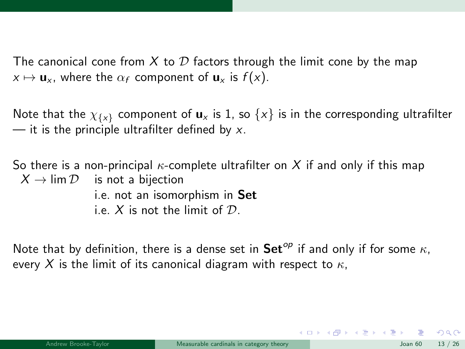Note that the  $\chi_{\{x\}}$  component of  $u_x$  is 1, so  $\{x\}$  is in the corresponding ultrafilter  $-$  it is the principle ultrafilter defined by x.

So there is a non-principal  $\kappa$ -complete ultrafilter on X if and only if this map  $X \to \lim \mathcal{D}$  is not a bijection i.e. not an isomorphism in Set i.e. X is not the limit of  $\mathcal{D}$ .

Note that by definition, there is a dense set in  $\mathbf{Set}^{op}$  if and only if for some  $\kappa$ , every X is the limit of its canonical diagram with respect to  $\kappa$ ,

 $\Omega$ 

メロメ メ部 メメ きょうくきょう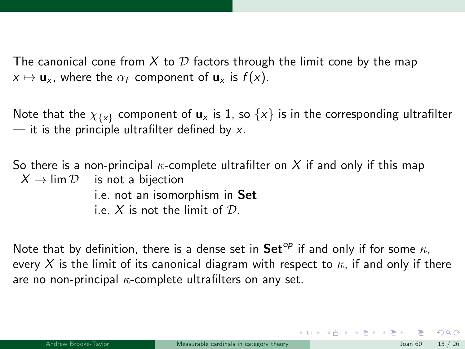Note that the  $\chi_{\{x\}}$  component of  $u_x$  is 1, so  $\{x\}$  is in the corresponding ultrafilter  $-$  it is the principle ultrafilter defined by x.

So there is a non-principal  $\kappa$ -complete ultrafilter on X if and only if this map  $X \rightarrow \lim \mathcal{D}$  is not a bijection i.e. not an isomorphism in Set i.e. X is not the limit of  $\mathcal{D}$ .

Note that by definition, there is a dense set in  $\mathbf{Set}^{op}$  if and only if for some  $\kappa$ , every X is the limit of its canonical diagram with respect to  $\kappa$ , if and only if there are no non-principal  $\kappa$ -complete ultrafilters on any set.

 $\Omega$ 

イロメ イ部メ イ君メ イ君メー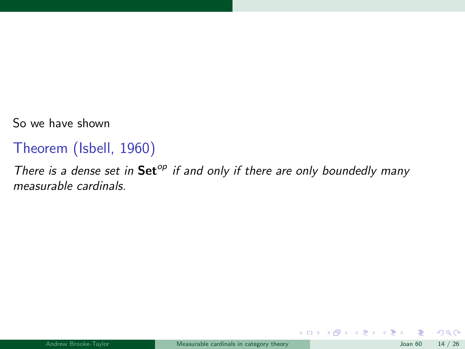So we have shown

#### Theorem (Isbell, 1960)

There is a dense set in  $\mathsf{Set}^{op}$  if and only if there are only boundedly many measurable cardinals.

 $\Omega$ 

メロトメ 倒 トメ ミトメ ミト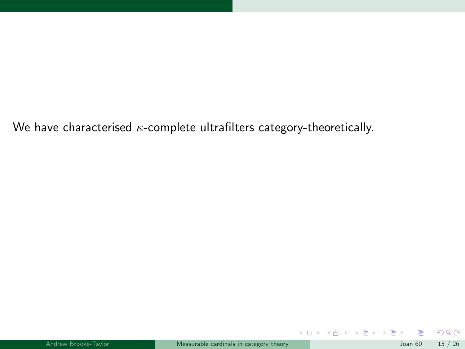We have characterised  $\kappa$ -complete ultrafilters category-theoretically.

|  | Andrew Brooke-Tavlor |  |
|--|----------------------|--|
|  |                      |  |

 $299$ 

メロトメ 倒 トメ ミトメ ミト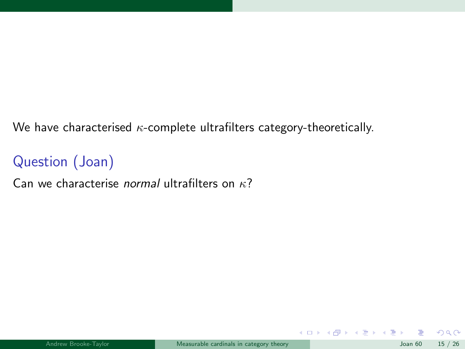We have characterised  $\kappa$ -complete ultrafilters category-theoretically.

## Question (Joan)

Can we characterise *normal* ultrafilters on  $\kappa$ ?

|  | Andrew Brooke-Tavlor |  |
|--|----------------------|--|
|  |                      |  |

 $2990$ 

メロト メ都 トメ ヨ トメ ヨト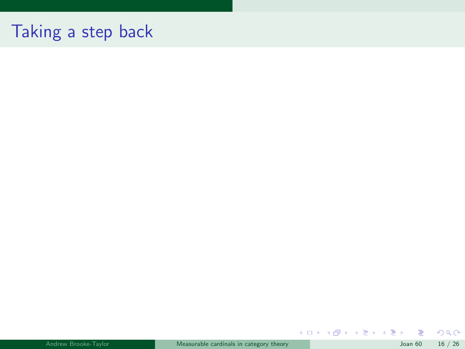# Taking a step back

| Andrew Brooke-Tavlor | Measurable cardinals in category theory | Joan $60$ 16 / 26 |  |
|----------------------|-----------------------------------------|-------------------|--|
|                      |                                         |                   |  |

 $299$ 

 $A$  (D )  $A$  (D )  $A$  (E )  $A$  (E )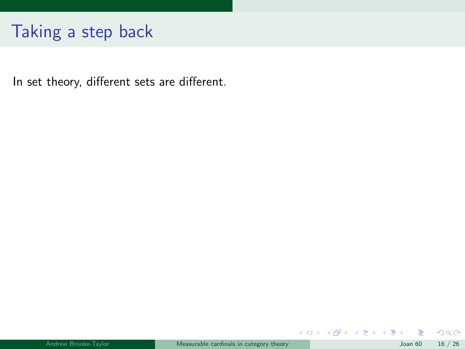# Taking a step back

In set theory, different sets are different.

 $299$ 

メロメ メ御 メメ ヨメ メヨメ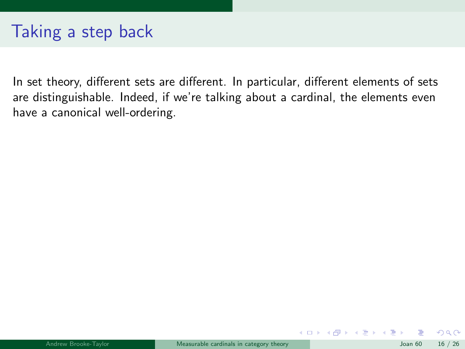## Taking a step back

In set theory, different sets are different. In particular, different elements of sets are distinguishable. Indeed, if we're talking about a cardinal, the elements even have a canonical well-ordering.

 $QQ$ 

メロト メ都 トメ ヨ トメ ヨト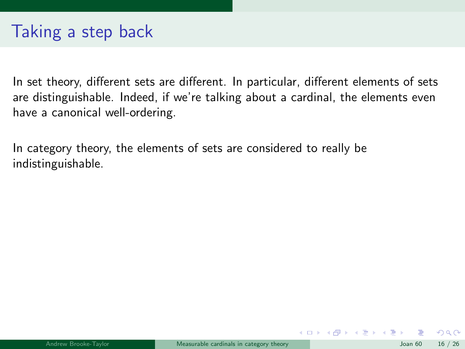In category theory, the elements of sets are considered to really be indistinguishable.

 $\Omega$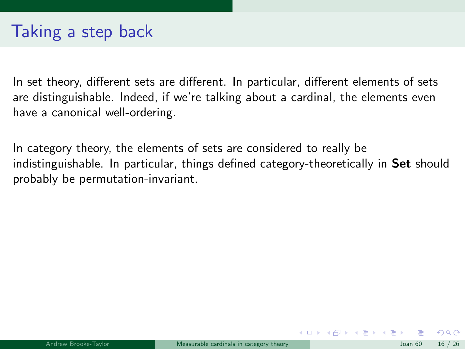In category theory, the elements of sets are considered to really be indistinguishable. In particular, things defined category-theoretically in Set should probably be permutation-invariant.

 $\Omega$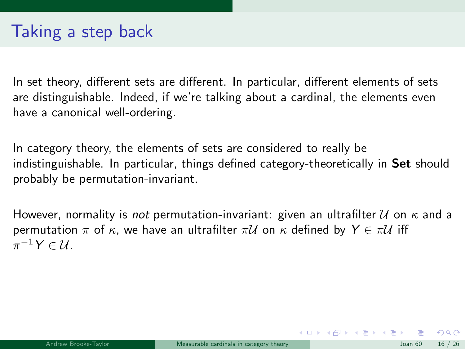In category theory, the elements of sets are considered to really be indistinguishable. In particular, things defined category-theoretically in Set should probably be permutation-invariant.

However, normality is *not* permutation-invariant: given an ultrafilter  $U$  on  $\kappa$  and a permutation  $\pi$  of  $\kappa$ , we have an ultrafilter  $\pi U$  on  $\kappa$  defined by  $Y \in \pi U$  iff  $\pi^{-1}Y \in \mathcal{U}.$ 

 $\Omega$ 

メロメ メ都 メメ きょうくぼ メー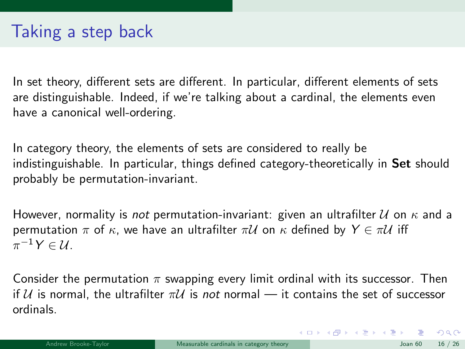In category theory, the elements of sets are considered to really be indistinguishable. In particular, things defined category-theoretically in Set should probably be permutation-invariant.

However, normality is *not* permutation-invariant: given an ultrafilter  $U$  on  $\kappa$  and a permutation  $\pi$  of  $\kappa$ , we have an ultrafilter  $\pi U$  on  $\kappa$  defined by  $Y \in \pi U$  iff  $\pi^{-1}Y \in \mathcal{U}.$ 

Consider the permutation  $\pi$  swapping every limit ordinal with its successor. Then if U is normal, the ultrafilter  $\pi U$  is not normal — it contains the set of successor ordinals.

 $\Omega$ 

K ロ X K @ X K 할 X K 할 X 시 할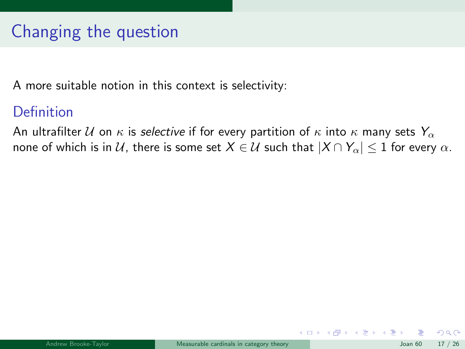A more suitable notion in this context is selectivity:

#### Definition

An ultrafilter U on  $\kappa$  is selective if for every partition of  $\kappa$  into  $\kappa$  many sets  $Y_{\alpha}$ none of which is in U, there is some set  $X \in U$  such that  $|X \cap Y_\alpha| \leq 1$  for every  $\alpha$ .

 $\Omega$ 

メロト メ都 トメ ヨ トメ ヨト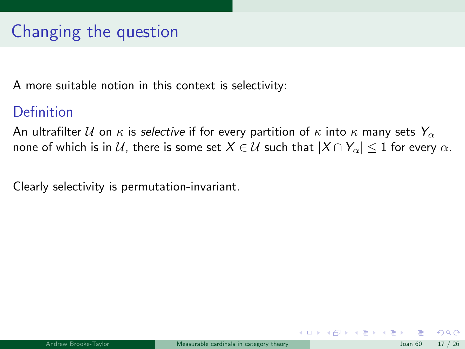A more suitable notion in this context is selectivity:

#### Definition

An ultrafilter U on  $\kappa$  is selective if for every partition of  $\kappa$  into  $\kappa$  many sets  $Y_{\alpha}$ none of which is in U, there is some set  $X \in U$  such that  $|X \cap Y_\alpha| \leq 1$  for every  $\alpha$ .

Clearly selectivity is permutation-invariant.

 $\Omega$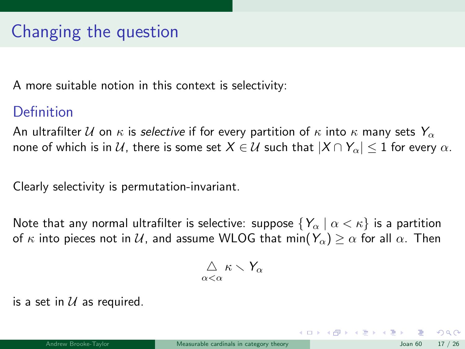A more suitable notion in this context is selectivity:

#### Definition

An ultrafilter U on  $\kappa$  is selective if for every partition of  $\kappa$  into  $\kappa$  many sets  $Y_{\alpha}$ none of which is in U, there is some set  $X \in U$  such that  $|X \cap Y_\alpha| \leq 1$  for every  $\alpha$ .

Clearly selectivity is permutation-invariant.

Note that any normal ultrafilter is selective: suppose  $\{Y_\alpha \mid \alpha < \kappa\}$  is a partition of  $\kappa$  into pieces not in U, and assume WLOG that min( $Y_\alpha$ )  $\geq \alpha$  for all  $\alpha$ . Then

$$
\mathop{\triangle}\limits_{\alpha<\alpha}\kappa\smallsetminus Y_\alpha
$$

is a set in  $U$  as required.

 $209$ 

メロメ メ都 メメ きょうくぼ メー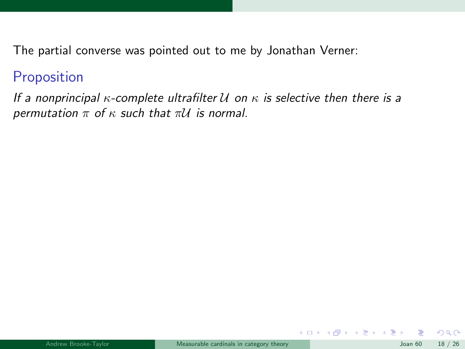The partial converse was pointed out to me by Jonathan Verner:

#### Proposition

If a nonprincipal  $\kappa$ -complete ultrafilter  $\mathcal U$  on  $\kappa$  is selective then there is a permutation  $\pi$  of  $\kappa$  such that  $\pi U$  is normal.

 $\Omega$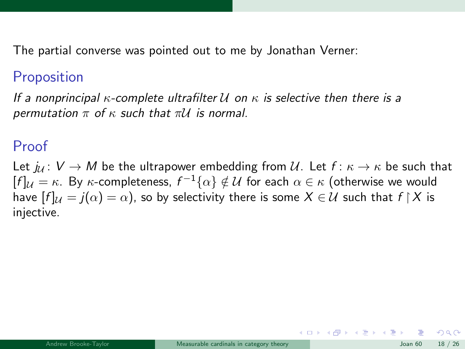The partial converse was pointed out to me by Jonathan Verner:

#### **Proposition**

If a nonprincipal  $\kappa$ -complete ultrafilter U on  $\kappa$  is selective then there is a permutation  $\pi$  of  $\kappa$  such that  $\pi U$  is normal.

#### Proof

Let  $j_{\ell} : V \to M$  be the ultrapower embedding from U. Let  $f : \kappa \to \kappa$  be such that  $[f]_\mathcal{U}=\kappa.$  By  $\kappa$ -completeness,  $f^{-1}\{\alpha\}\notin\mathcal{U}$  for each  $\alpha\in\kappa$  (otherwise we would have  $[f]_{\mathcal{U}} = j(\alpha) = \alpha$ , so by selectivity there is some  $X \in \mathcal{U}$  such that  $f \upharpoonright X$  is injective.

 $\Omega$ 

 $\left\{ \begin{array}{ccc} 1 & 0 & 0 \\ 0 & 1 & 0 \end{array} \right.$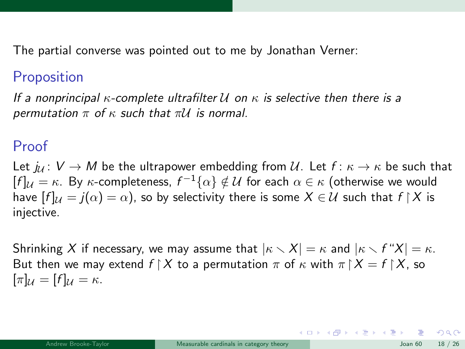The partial converse was pointed out to me by Jonathan Verner:

#### **Proposition**

If a nonprincipal  $\kappa$ -complete ultrafilter U on  $\kappa$  is selective then there is a permutation  $\pi$  of  $\kappa$  such that  $\pi U$  is normal.

#### Proof

Let  $j_{\ell} : V \to M$  be the ultrapower embedding from U. Let  $f : \kappa \to \kappa$  be such that  $[f]_\mathcal{U}=\kappa.$  By  $\kappa$ -completeness,  $f^{-1}\{\alpha\}\notin\mathcal{U}$  for each  $\alpha\in\kappa$  (otherwise we would have  $[f]_{\mathcal{U}} = j(\alpha) = \alpha$ , so by selectivity there is some  $X \in \mathcal{U}$  such that  $f \upharpoonright X$  is injective.

Shrinking X if necessary, we may assume that  $|\kappa \setminus X| = \kappa$  and  $|\kappa \setminus f''X| = \kappa$ . But then we may extend  $f \upharpoonright X$  to a permutation  $\pi$  of  $\kappa$  with  $\pi \upharpoonright X = f \upharpoonright X$ , so  $[\pi]_{\mathcal{U}} = [f]_{\mathcal{U}} = \kappa.$ 

 $209$ 

イロト 不優 ト 不思 ト 不思 トー 理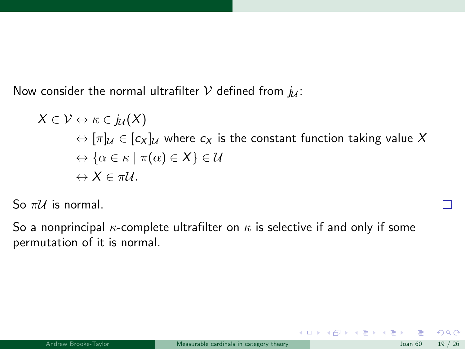Now consider the normal ultrafilter  $V$  defined from  $j_{\mathcal{U}}$ :

$$
X \in \mathcal{V} \leftrightarrow \kappa \in j_{\mathcal{U}}(X)
$$
  
\n
$$
\leftrightarrow [\pi]_{\mathcal{U}} \in [c_X]_{\mathcal{U}}
$$
 where  $c_X$  is the constant function taking value  $X$   
\n
$$
\leftrightarrow {\alpha \in \kappa \mid \pi(\alpha) \in X} \in \mathcal{U}
$$
  
\n
$$
\leftrightarrow X \in \pi \mathcal{U}.
$$

So  $\pi\mathcal{U}$  is normal.

So a nonprincipal  $\kappa$ -complete ultrafilter on  $\kappa$  is selective if and only if some permutation of it is normal.

 $299$ 

メロメ メ御 メメ ヨメ メヨメ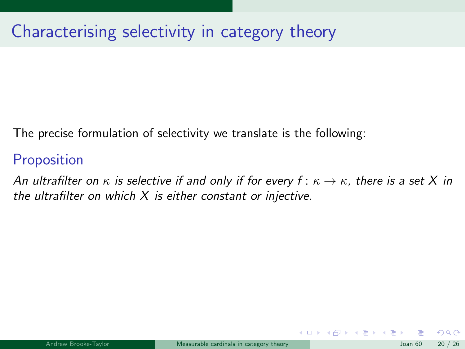# Characterising selectivity in category theory

The precise formulation of selectivity we translate is the following:

### **Proposition**

An ultrafilter on  $\kappa$  is selective if and only if for every  $f: \kappa \to \kappa$ , there is a set X in the ultrafilter on which  $X$  is either constant or injective.

 $\Omega$ 

 $\left\{ \begin{array}{ccc} 1 & 0 & 0 \\ 0 & 1 & 0 \end{array} \right.$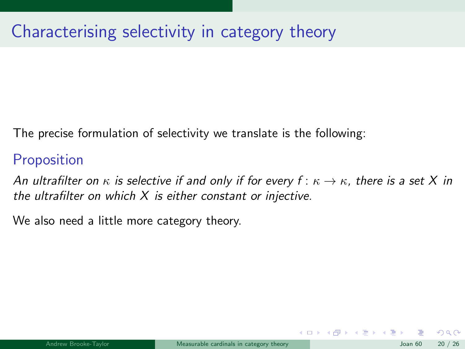# Characterising selectivity in category theory

The precise formulation of selectivity we translate is the following:

### **Proposition**

An ultrafilter on  $\kappa$  is selective if and only if for every  $f: \kappa \to \kappa$ , there is a set X in the ultrafilter on which  $X$  is either constant or injective.

We also need a little more category theory.

 $\Omega$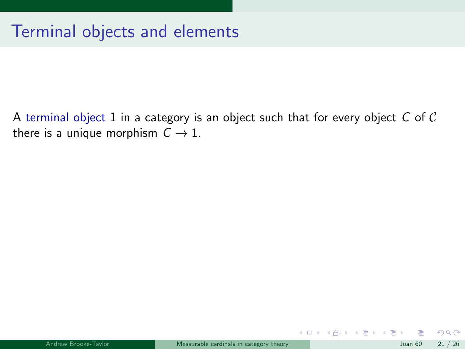A terminal object 1 in a category is an object such that for every object  $C$  of  $C$ there is a unique morphism  $C \rightarrow 1$ .

 $299$ 

メロト メ都 トメ ヨ トメ ヨト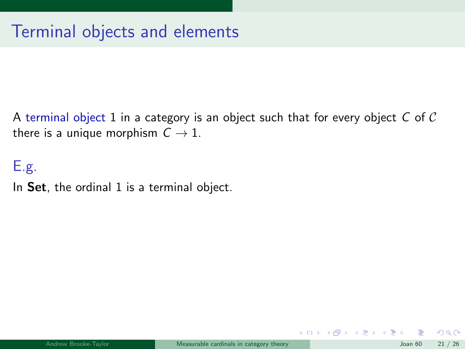A terminal object 1 in a category is an object such that for every object  $C$  of  $C$ there is a unique morphism  $C \rightarrow 1$ .

E.g.

In Set, the ordinal 1 is a terminal object.

 $\Omega$ 

メロト メ都 トメ ヨ トメ ヨト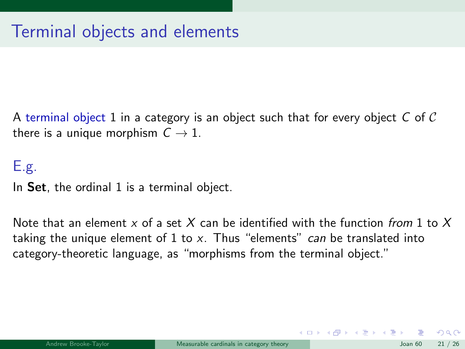A terminal object 1 in a category is an object such that for every object C of C there is a unique morphism  $C \rightarrow 1$ .

#### E.g.

In Set, the ordinal 1 is a terminal object.

Note that an element x of a set X can be identified with the function from 1 to X taking the unique element of 1 to x. Thus "elements" can be translated into category-theoretic language, as "morphisms from the terminal object."

 $\Omega$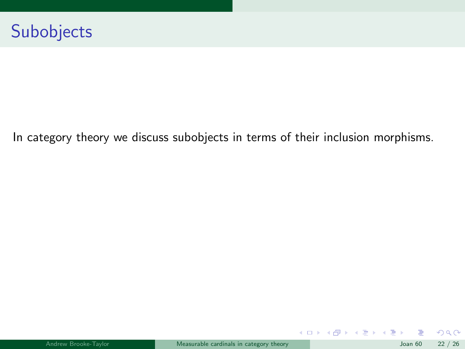In category theory we discuss subobjects in terms of their inclusion morphisms.

 $299$ 

メロメ メ御 メメ ヨメ メヨメ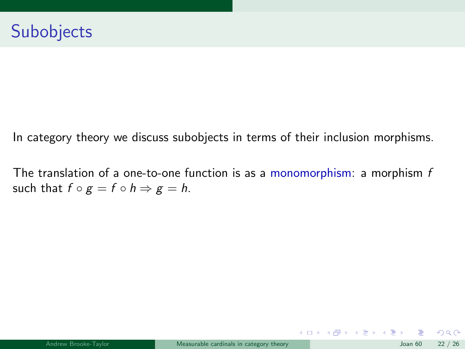In category theory we discuss subobjects in terms of their inclusion morphisms.

The translation of a one-to-one function is as a monomorphism: a morphism  $f$ such that  $f \circ g = f \circ h \Rightarrow g = h$ .

 $299$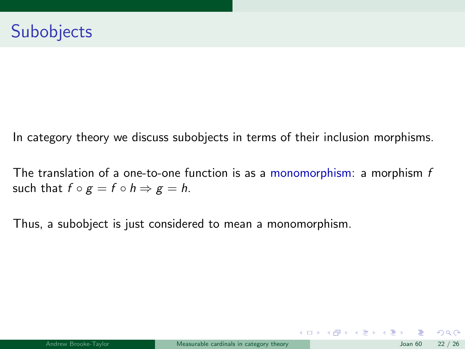In category theory we discuss subobjects in terms of their inclusion morphisms.

The translation of a one-to-one function is as a monomorphism: a morphism  $f$ such that  $f \circ g = f \circ h \Rightarrow g = h$ .

Thus, a subobject is just considered to mean a monomorphism.

 $\Omega$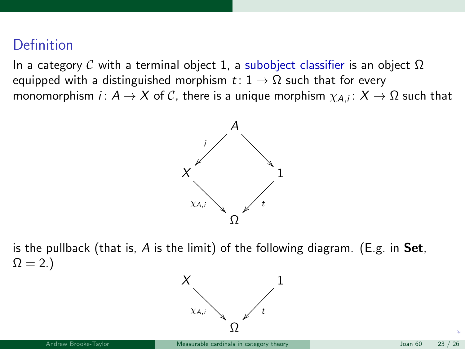#### <span id="page-55-0"></span>**Definition**

In a category C with a terminal object 1, a subobject classifier is an object  $\Omega$ equipped with a distinguished morphism  $t: 1 \rightarrow \Omega$  such that for every monomorphism  $i\colon A\to X$  of  $\mathcal C$ , there is a unique morphism  $\chi_{A,i}\colon X\to \Omega$  such that



is the pullback (that is,  $A$  is the limit) of the following diagram. (E.g. in Set,  $\Omega = 2.$ 

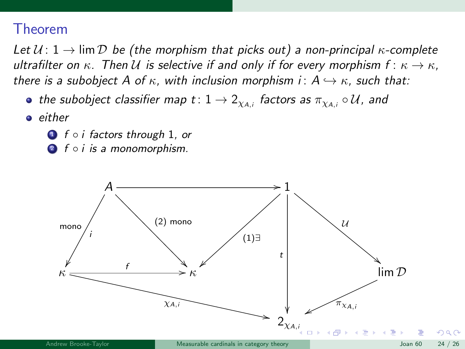#### Theorem

Let  $U: 1 \rightarrow \lim \mathcal{D}$  be (the morphism that picks out) a non-principal  $\kappa$ -complete ultrafilter on  $\kappa$ . Then U is selective if and only if for every morphism  $f: \kappa \to \kappa$ , there is a subobject A of  $\kappa$ , with inclusion morphism i:  $A \hookrightarrow \kappa$ , such that:

- the subobject classifier map  $t\colon 1\to 2_{\chi_{A,i}}$  factors as  $\pi_{\chi_{A,i}}\circ\mathcal{U}$ , and
- **e** either
	- **1** f ∘ *i* factors through 1, or
	- **2** f ∘ *i* is a monomorphism.

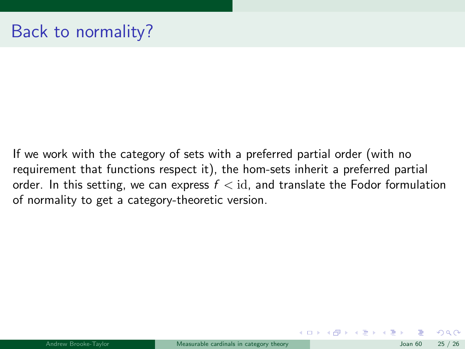If we work with the category of sets with a preferred partial order (with no requirement that functions respect it), the hom-sets inherit a preferred partial order. In this setting, we can express  $f < id$ , and translate the Fodor formulation of normality to get a category-theoretic version.

 $\Omega$